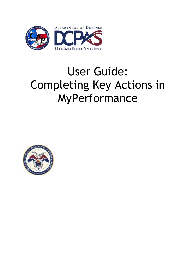

# User Guide: Completing Key Actions in MyPerformance

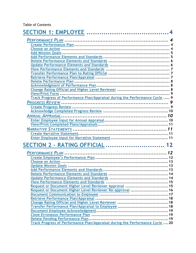## Table of Contents

| <b>SECTION 2 - RATING OFFICIAL  12</b>                                        |  |
|-------------------------------------------------------------------------------|--|
|                                                                               |  |
|                                                                               |  |
|                                                                               |  |
|                                                                               |  |
|                                                                               |  |
|                                                                               |  |
|                                                                               |  |
|                                                                               |  |
| Request or Document Higher Level Reviewer Approval  15                        |  |
| Request or Document Higher Level Reviewer Re-approval  16                     |  |
|                                                                               |  |
|                                                                               |  |
|                                                                               |  |
|                                                                               |  |
|                                                                               |  |
|                                                                               |  |
|                                                                               |  |
| Track Progress of Performance Plan/Appraisal during the Performance Cycle  20 |  |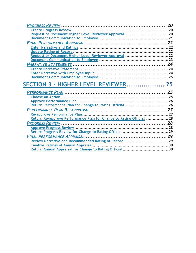| Request or Document Higher Level Reviewer Approval 20               |  |
|---------------------------------------------------------------------|--|
|                                                                     |  |
|                                                                     |  |
|                                                                     |  |
|                                                                     |  |
| Request or Document Higher Level Reviewer Approval 22               |  |
|                                                                     |  |
|                                                                     |  |
|                                                                     |  |
|                                                                     |  |
|                                                                     |  |
| SECTION 3 - HIGHER LEVEL REVIEWER 25                                |  |
|                                                                     |  |
|                                                                     |  |
|                                                                     |  |
|                                                                     |  |
|                                                                     |  |
| Return Performance Plan for Change to Rating Official 26            |  |
|                                                                     |  |
|                                                                     |  |
| Return Re-approve Performance Plan for Change to Rating Official 28 |  |
|                                                                     |  |
|                                                                     |  |
|                                                                     |  |
|                                                                     |  |
|                                                                     |  |
|                                                                     |  |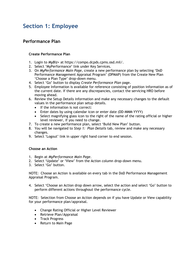# <span id="page-3-0"></span>**Section 1: Employee**

## <span id="page-3-1"></span>**Performance Plan**

#### <span id="page-3-2"></span>**Create Performance Plan**

- 1. Login to *MyBiz+* at https://compo.dcpds.cpms.osd.mil/.
- 2. Select 'MyPerformance' link under Key Services.
- 3. On *MyPerformance Main Page*, create a new performance plan by selecting 'DoD Performance Management Appraisal Program' (DPMAP) from the Create New Plan 'Choose a Plan Type' drop-down menu.
- 4. Select 'Go' button to display *Create Performance Plan* page*.*
- 5. Employee Information is available for reference consisting of position information as of the current date. If there are any discrepancies, contact the servicing HRO before moving ahead.
- 6. Review the Setup Details information and make any necessary changes to the default values in the performance plan setup details.
	- If the information is not correct:
	- Enter dates by using calendar icon or enter date (DD-MMM-YYYY)
	- Select magnifying glass icon to the right of the name of the rating official or higher level reviewer, if you need to change.
- 7. To create a new performance plan, select 'Build New Plan' button.
- 8. You will be navigated to *Step 1: Plan Details* tab, review and make any necessary changes.
- 9. Select 'Logout' link in upper right hand corner to end session.

#### <span id="page-3-3"></span>**Choose an Action**

- 1. Begin at *MyPerformance Main Page*.
- 2. Select 'Update' or 'View' from the Action column drop-down menu.
- 3. Select 'Go' button.

NOTE: Choose an Action is available on every tab in the DoD Performance Management Appraisal Program.

4. Select 'Choose an Action drop down arrow, select the action and select 'Go' button to perform different actions throughout the performance cycle.

NOTE: Selection from Choose an Action depends on if you have Update or View capability for your performance plan/appraisal.

- Change Rating Official or Higher Level Reviewer
- Retrieve Plan/Appraisal
- Track Progress
- Return to Main Page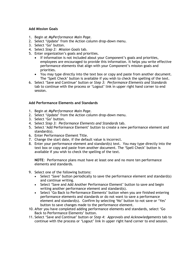#### <span id="page-4-0"></span>**Add Mission Goals**

- 1. Begin at *MyPerformance Main Page*.
- 2. Select 'Update' from the Action column drop-down menu.
- 3. Select 'Go' button.
- 4. Select *Step 2: Mission Goals* tab.
- 5. Enter organization's goals and priorities.
	- If information is not included about your Component's goals and priorities, employees are encouraged to provide this information. It helps you write effective performance elements that align with your Component's mission goals and priorities.
	- You may type directly into the text box or copy and paste from another document. The 'Spell Check' button is available if you wish to check the spelling of the text.
- 6. Select 'Save and Continue' button or *Step 3: Performance Elements and Standards* tab to continue with the process or 'Logout' link in upper right hand corner to end session.

#### <span id="page-4-1"></span>**Add Performance Elements and Standards**

- 1. Begin at *MyPerformance Main Page*.
- 2. Select 'Update' from the Action column drop-down menu.
- 3. Select 'Go' button.
- 4. Select *Step 3: Performance Elements and Standards* tab.
- 5. Select 'Add Performance Element' button to create a new performance element and standard(s).
- 6. Enter Performance Element Title.
- 7. Change the start date, if the default value is incorrect.
- 8. Enter your performance element and standard(s) text. You may type directly into the text box or copy and paste from another document. The 'Spell Check' button is available if you wish to check the spelling of the text.

**NOTE**: Performance plans must have at least one and no more ten performance elements and standards.

- 9. Select one of the following buttons:
	- Select 'Save' button periodically to save the performance element and standard(s) and continue writing.
	- Select 'Save and Add Another Performance Element' button to save and begin writing another performance element and standard(s).
	- Select 'Go Back to Performance Elements' button when you are finished entering performance elements and standards or do not want to save a performance element and standard(s). Confirm by selecting 'No' button to not save or 'Yes' button to save changes made to the performance element.
- 10. After you have completed adding performance elements and standards, select 'Go Back to Performance Elements' button.
- 11. Select 'Save and Continue' button or *Step 4: Approvals and Acknowledgements* tab to continue with the process or 'Logout' link in upper right hand corner to end session.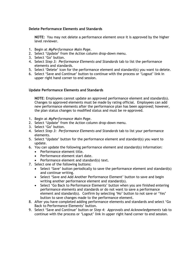#### <span id="page-5-0"></span>**Delete Performance Elements and Standards**

**NOTE:** You may not delete a performance element once it is approved by the higher level reviewer.

- 1. Begin at *MyPerformance Main Page*.
- 2. Select 'Update' from the Action column drop-down menu.
- 3. Select 'Go' button.
- 4. Select *Step 3: Performance Elements and Standards* tab to list the performance elements and standards.
- 5. Select 'Delete' icon for the performance element and standard(s) you want to delete.
- 6. Select 'Save and Continue' button to continue with the process or 'Logout' link in upper right hand corner to end session.

#### <span id="page-5-1"></span>**Update Performance Elements and Standards**

**NOTE**: Employees cannot update an approved performance element and standard(s). Changes to approved elements must be made by rating official. Employees can add new performance elements after the performance plan has been approved; however, the plan status changes to modified status and must be re-approved.

- 1. Begin at *MyPerformance Main Page*.
- 2. Select 'Update' from the Action column drop-down menu.
- 3. Select 'Go' button.
- 4. Select *Step 3: Performance Elements and Standards* tab to list your performance elements.
- 5. Select 'Update' button for the performance element and standard(s) you want to update.
- 6. You can update the following performance element and standard(s) information:
	- Performance element title.
	- Performance element start date.
	- Performance element and standard(s) text.
- 7. Select one of the following buttons:
	- Select 'Save' button periodically to save the performance element and standard(s) and continue writing.
	- Select 'Save and Add Another Performance Element' button to save and begin writing another performance element and standard(s).
	- Select 'Go Back to Performance Elements' button when you are finished entering performance elements and standards or do not want to save a performance element and standard(s). Confirm by selecting 'No' button to not save or 'Yes' button to save changes made to the performance element.
- 8. After you have completed adding performance elements and standards and select 'Go Back to Performance Elements' button.
- 9. Select 'Save and Continue' button or *Step 4: Approvals and Acknowledgements* tab to continue with the process or 'Logout' link in upper right hand corner to end session.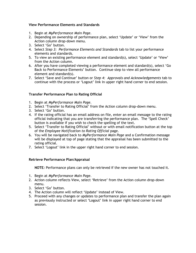#### <span id="page-6-0"></span>**View Performance Elements and Standards**

- 1. Begin at *MyPerformance Main Page*.
- 2. Depending on ownership of performance plan, select 'Update' or 'View' from the Action column drop-down menu.
- 3. Select 'Go' button.
- 4. Select *Step 3: Performance Elements and Standards* tab to list your performance elements and standards.
- 5. To view an existing performance element and standard(s), select 'Update' or 'View' from the Action column.
- 6. After you have completed viewing a performance element and standard(s), select 'Go Back to Performance Elements' button. Continue step to view all performance element and standard(s).
- 7. Select 'Save and Continue' button or *Step 4: Approvals and Acknowledgements* tab to continue with the process or 'Logout' link in upper right hand corner to end session.

#### <span id="page-6-1"></span>**Transfer Performance Plan to Rating Official**

- 1. Begin at *MyPerformance Main Page*.
- 2. Select 'Transfer to Rating Official' from the Action column drop-down menu.
- 3. Select 'Go' button.
- 4. If the rating official has an email address on file, enter an email message to the rating official indicating that you are transferring the performance plan. The 'Spell Check' button is available if you wish to check the spelling of the text.
- 5. Select 'Transfer to Rating Official' without or with email notification button at the top of the *Employee Notification to Rating Official* page.
- 6. You will be navigated back to *MyPerformance Main Page* and a Confirmation message will be displayed at top of page stating that the appraisal has been submitted to the rating official.
- 7. Select 'Logout' link in the upper right hand corner to end session.

#### <span id="page-6-2"></span>**Retrieve Performance Plan/Appraisal**

**NOTE***:* Performance plans can only be retrieved if the new owner has not touched it.

- 1. Begin at *MyPerformance Main Page*.
- 2. Action column reflects View, select 'Retrieve' from the Action column drop-down menu.
- 3. Select 'Go' button.
- 4. The Action column will reflect 'Update' instead of View.
- 5. Proceed with any changes or updates to performance plan and transfer the plan again as previously instructed or select 'Logout' link in upper right hand corner to end session.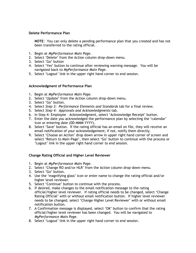#### <span id="page-7-0"></span>**Delete Performance Plan**

**NOTE**: You can only delete a pending performance plan that you created and has not been transferred to the rating official.

- 1. Begin at *MyPerformance Main Page*.
- 2. Select 'Delete' from the Action column drop-down menu.
- 3. Select 'Go' button
- 4. Select 'Yes' button to continue after reviewing warning message. You will be navigated back to *MyPerformance Main Page*.
- 5. Select 'Logout' link in the upper right hand corner to end session.

#### <span id="page-7-1"></span>**Acknowledgment of Performance Plan**

- 1. Begin at *MyPerformance Main Page*.
- 2. Select 'Update' from the Action column drop-down menu.
- 3. Select 'Go' button.
- 4. Select *Step 3: Performance Elements and Standards* tab for a final review.
- 5. Select *Step 4: Approvals and Acknowledgments* tab.
- 6. In Step 4: Employee Acknowledgment, select 'Acknowledge Receipt' button.
- 7. Enter the date you acknowledged the performance plan by selecting the 'calendar' icon or entering date (DD-MMM-YYYY).
- 8. Select 'Save' button. If the rating official has an email on file, they will receive an email notification of your acknowledgement; if not, notify them directly.
- 9. Select 'Choose an Action' drop down arrow in upper right hand corner of screen and select 'Return to Main Page', then select 'Go' button to continue with the process or 'Logout' link in the upper right hand corner to end session.

#### <span id="page-7-2"></span>**Change Rating Official and Higher Level Reviewer**

- 1. Begin at *MyPerformance Main Page*.
- 2. Select 'Change RO and/or HLR' from the Action column drop-down menu.
- 3. Select 'Go' button.
- 4. Use the 'magnifying glass' icon or enter name to change the rating official and/or higher level reviewer.
- 5. Select 'Continue' button to continue with the process.
- 6. If desired, make changes to the email notification message to the rating official/higher level reviewer. If rating official needs to be changed, select 'Change Rating Official' with or without email notification button. If higher level reviewer needs to be changed, select 'Change Higher Level Reviewer' with or without email notification button.
- 7. A Confirmation message is displayed, select 'OK' button to confirm that the rating official/higher level reviewer has been changed. You will be navigated to *MyPerformance Main Page*.
- 8. Select 'Logout' link in the upper right hand corner to end session.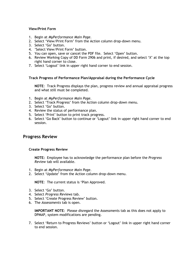#### <span id="page-8-0"></span>**View/Print Form**

- 1. Begin at *MyPerformance Main Page*.
- 2. Select 'View/Print Form' from the Action column drop-down menu.
- 3. Select 'Go' button.
- 4. 'Select View/Print Form' button.
- 5. You can open, save or cancel the PDF file. Select 'Open' button.
- 6. Review Working Copy of DD Form 2906 and print, if desired, and select 'X' at the top right hand corner to close.
- 7. Select 'Logout' link in upper right hand corner to end session.

#### <span id="page-8-1"></span>**Track Progress of Performance Plan/Appraisal during the Performance Cycle**

**NOTE**: Track Progress displays the plan, progress review and annual appraisal progress and what still must be completed.

- 1. Begin at *MyPerformance Main Page*.
- 2. Select 'Track Progress' from the Action column drop-down menu.
- 3. Select 'Go' button.
- 4. Review the status of performance plan.
- 5. Select 'Print' button to print track progress.
- 6. Select 'Go Back' button to continue or 'Logout' link in upper right hand corner to end session.

## <span id="page-8-2"></span>**Progress Review**

#### <span id="page-8-3"></span>**Create Progress Review**

**NOTE:** Employee has to acknowledge the performance plan before the *Progress Review* tab will available.

- 1. Begin at *MyPerformance Main Page*.
- 2. Select 'Update' from the Action column drop-down menu.

**NOTE**: The current status is 'Plan Approved.

- 3. Select 'Go' button.
- 4. Select *Progress Reviews* tab.
- 5. Select 'Create Progress Review' button.
- 6. The *Assessments* tab is open.

**IMPORTANT NOTE**: Please disregard the Assessments tab as this does not apply to DPMAP, system modifications are pending.

7. Select 'Return to Progress Reviews' button or 'Logout' link in upper right hand corner to end session.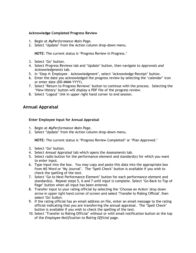#### <span id="page-9-0"></span>**Acknowledge Completed Progress Review**

- 1. Begin at *MyPerformance Main Page*.
- 2. Select 'Update' from the Action column drop-down menu.

**NOTE:** The current status is 'Progress Review in Progress.'

- 3. Select 'Go' button.
- 4. Select *Progress Reviews* tab and 'Update' button, then navigate to *Approvals and Acknowledgments* tab.
- 5. In 'Step 4: Employee Acknowledgment', select 'Acknowledge Receipt' button.
- 6. Enter the date you acknowledged the progress review by selecting the 'calendar' icon or enter date (DD-MMM-YYYY).
- 7. Select 'Return to Progress Reviews' button to continue with the process. Selecting the 'View History' button will display a PDF file of the progress review.
- 8. Select 'Logout' link in upper right hand corner to end session.

## <span id="page-9-1"></span>**Annual Appraisal**

#### <span id="page-9-2"></span>**Enter Employee Input for Annual Appraisal**

- 1. Begin at *MyPerformance Main Page*.
- 2. Select 'Update' from the Action column drop-down menu.

**NOTE:** The current status is 'Progress Review Completed' or 'Plan Approved.'

- 3. Select 'Go' button.
- 4. Select *Annual Appraisal* tab which opens the *Assessments* tab.
- 5. Select radio button for the performance element and standard(s) for which you want to enter input.
- 6. Type input into the box. You may copy and paste this data into the appropriate box from MS Word or 'My Journal'. The 'Spell Check' button is available if you wish to check the spelling of the text.
- 7. Select 'Go to Next Performance Element' button for each performance element and standard(s). Repeat steps 5, 6 and 7 until input is complete. Select 'Go Back to Top of Page' button when all input has been entered.
- 8. Transfer input to your rating official by selecting the 'Choose an Action' drop down arrow in upper right hand corner of screen and select 'Transfer to Rating Official', then select 'Go' button.
- 9. If the rating official has an email address on file, enter an email message to the rating official indicating that you are transferring the annual appraisal. The 'Spell Check' button is available if you wish to check the spelling of the text.
- 10. Select 'Transfer to Rating Official' without or with email notification button at the top of the *Employee Notification to Rating Official* page.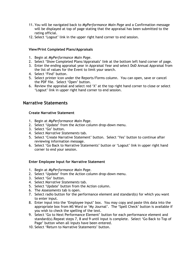- 11. You will be navigated back to *MyPerformance Main Page* and a Confirmation message will be displayed at top of page stating that the appraisal has been submitted to the rating official.
- 12. Select 'Logout' link in the upper right hand corner to end session.

#### <span id="page-10-0"></span>**View/Print Completed Plans/Appraisals**

- 1. Begin at *MyPerformance Main Page*.
- 2. Select 'Show Completed Plans/Appraisals' link at the bottom left hand corner of page.
- 3. Enter the ending appraisal year in Appraisal Year and select DoD Annual Appraisal from the list of values for the Event to limit your search.
- 4. Select 'Find' button.
- 5. Select printer icon under the Reports/Forms column. You can open, save or cancel the PDF file. Select 'Open' button.
- 6. Review the appraisal and select red 'X' at the top right hand corner to close or select 'Logout' link in upper right hand corner to end session.

## <span id="page-10-1"></span>**Narrative Statements**

#### <span id="page-10-2"></span>**Create Narrative Statement**

- 1. Begin at *MyPerformance Main Page*.
- 2. Select 'Update' from the Action column drop-down menu.
- 3. Select 'Go' button.
- 4. Select *Narrative Statements* tab.
- 5. Select 'Create Narrative Statement' button. Select 'Yes' button to continue after reviewing information message.
- 6. Select 'Go Back to Narrative Statements' button or 'Logout' link in upper right hand corner to end your session.

#### <span id="page-10-3"></span>**Enter Employee Input for Narrative Statement**

- 1. Begin at *MyPerformance Main Page*.
- 2. Select 'Update' from the Action column drop-down menu.
- 3. Select 'Go' button.
- 4. Select *Narrative Statements* tab.
- 5. Select 'Update' button from the Action column.
- 6. The *Assessments* tab is open.
- 7. Select radio button for the performance element and standard(s) for which you want to enter input.
- 8. Enter input into the 'Employee Input' box. You may copy and paste this data into the appropriate box from MS Word or 'My Journal'. The 'Spell Check' button is available if you wish to check the spelling of the text.
- 9. Select 'Go to Next Performance Element' button for each performance element and standard(s).Repeat steps 7, 8 and 9 until input is complete. Select 'Go Back to Top of Page' button when all inputs have been entered.
- 10. Select 'Return to Narrative Statements' button.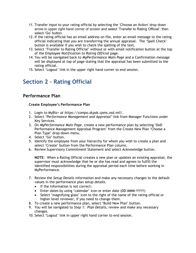- 11. Transfer input to your rating official by selecting the 'Choose an Action' drop down arrow in upper right hand corner of screen and select 'Transfer to Rating Official', then select 'Go' button.
- 12. If the rating official has an email address on file, enter an email message to the rating official indicating that you are transferring the annual appraisal. The 'Spell Check' button is available if you wish to check the spelling of the text.
- 13. Select 'Transfer to Rating Official' without or with email notification button at the top of the *Employee Notification to Rating Official* page.
- 14. You will be navigated back to *MyPerformance Main Page* and a Confirmation message will be displayed at top of page stating that the appraisal has been submitted to the rating official.
- 15. Select 'Logout' link in the upper right hand corner to end session.

# <span id="page-11-0"></span>**Section 2 – Rating Official**

## <span id="page-11-1"></span>**Performance Plan**

#### <span id="page-11-2"></span>**Create Employee's Performance Plan**

- 1. Login to MyBiz+ *at https://compo.dcpds.cpms.osd.mil/*.
- 2. Select '*Performance Management and Appraisal'* link from Manager Functions under Key Services.
- 3. On *MyPerformance Main Page*, create a new performance plan by selecting 'DoD Performance Management Appraisal Program' from the Create New Plan 'Choose a Plan Type' drop-down menu.
- 4. Select 'Go' button.
- 5. Identify the employee from your hierarchy for whom you wish to create a plan and select 'Create' button from the Performance Plan column.
- 6. Review Supervisory Commitment Statement and select Acknowledge button.

**NOTE**: When a Rating Official creates a new plan or updates an existing appraisal, the supervisor must acknowledge that he or she has read and agrees to fulfill the identified responsibilities during the appraisal period each time before working in MyPerformance.

- 7. Review the *Setup Details* information and make any necessary changes to the default values in the performance plan setup details.
	- If the information is not correct:
	- Enter dates by using 'calendar' icon or enter date (DD-MMM-YYYY)
	- Select 'magnifying glass' icon to the right of the name of the rating official or higher level reviewer, if you need to change them.
- 8. To create a new performance plan, select 'Build New Plan' button.
- 9. You will be navigated to *Step 1: Plan Details*, review and make any necessary changes.
- 10. Select 'Logout' link in upper right hand corner to end session.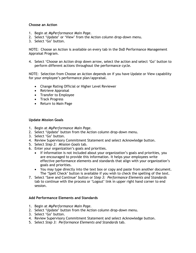#### <span id="page-12-0"></span>**Choose an Action**

- 1. Begin at *MyPerformance Main Page*.
- 2. Select 'Update' or 'View' from the Action column drop-down menu.
- 3. Select 'Go' button.

NOTE: Choose an Action is available on every tab in the DoD Performance Management Appraisal Program.

4. Select 'Choose an Action drop down arrow, select the action and select 'Go' button to perform different actions throughout the performance cycle.

NOTE: Selection from Choose an Action depends on if you have Update or View capability for your employee's performance plan/appraisal.

- Change Rating Official or Higher Level Reviewer
- Retrieve Appraisal
- Transfer to Employee
- Track Progress
- Return to Main Page

#### <span id="page-12-1"></span>**Update Mission Goals**

- 1. Begin at *MyPerformance Main Page*.
- 2. Select 'Update' button from the Action column drop-down menu.
- 3. Select 'Go' button.
- 4. Review Supervisory Commitment Statement and select Acknowledge button.
- 5. Select *Step 2: Mission Goals* tab.
- 6. Enter your organization's goals and priorities.
	- If information is not included about your organization's goals and priorities, you are encouraged to provide this information. It helps your employees write effective performance elements and standards that align with your organization's goals and priorities.
	- You may type directly into the text box or copy and paste from another document. The 'Spell Check' button is available if you wish to check the spelling of the text.
- 7. Select 'Save and Continue' button or *Step 3: Performance Elements and Standards*  tab to continue with the process or 'Logout' link in upper right hand corner to end session.

#### <span id="page-12-2"></span>**Add Performance Elements and Standards**

- 1. Begin at *MyPerformance Main Page*.
- 2. Select 'Update' button from the Action column drop-down menu.
- 3. Select 'Go' button.
- 4. Review Supervisory Commitment Statement and select Acknowledge button.
- 5. Select *Step 3: Performance Elements and Standards* tab.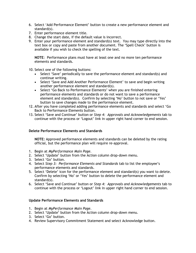- 6. Select 'Add Performance Element' button to create a new performance element and standard(s).
- 7. Enter performance element title.
- 8. Change the start date, if the default value is incorrect.
- 9. Enter your performance element and standard(s) text. You may type directly into the text box or copy and paste from another document. The 'Spell Check' button is available if you wish to check the spelling of the text.

**NOTE**: Performance plans must have at least one and no more ten performance elements and standards.

10. Select one of the following buttons:

- Select 'Save' periodically to save the performance element and standard(s) and continue writing.
- Select 'Save and Add Another Performance Element' to save and begin writing another performance element and standard(s).
- Select 'Go Back to Performance Elements' when you are finished entering performance elements and standards or do not want to save a performance element and standard(s). Confirm by selecting 'No' button to not save or 'Yes' button to save changes made to the performance element.
- 12. After you have completed adding performance elements and standards and select 'Go Back to Performance Elements button.
- 13. Select 'Save and Continue' button or *Step 4: Approvals and Acknowledgements* tab to continue with the process or 'Logout' link in upper right hand corner to end session.

#### <span id="page-13-0"></span>**Delete Performance Elements and Standards**

**NOTE:** Approved performance elements and standards can be deleted by the rating official, but the performance plan will require re-approval.

- 1. Begin at *MyPerformance Main Page*.
- 2. Select 'Update' button from the Action column drop-down menu.
- 3. Select 'Go' button.
- 4. Select *Step 3: Performance Elements and Standards* tab to list the employee's performance elements and standards.
- 5. Select 'Delete' icon for the performance element and standard(s) you want to delete. Confirm by selecting 'No' or 'Yes' button to delete the performance element and standard(s).
- 6. Select 'Save and Continue' button or *Step 4: Approvals and Acknowledgements* tab to continue with the process or 'Logout' link in upper right hand corner to end session.

#### <span id="page-13-1"></span>**Update Performance Elements and Standards**

- 1. Begin at *MyPerformance Main Page*.
- 2. Select 'Update' button from the Action column drop-down menu.
- 3. Select 'Go' button.
- 4. Review Supervisory Commitment Statement and select Acknowledge button.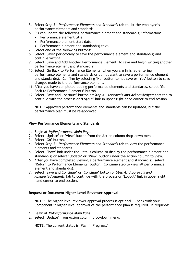- 5. Select S*tep 3: Performance Elements and Standards* tab to list the employee's performance elements and standards.
- 6. RO can update the following performance element and standard(s) information:
	- Performance element title.
	- Performance element start date.
	- Performance element and standard(s) text.
- 7. Select one of the following buttons:
- 8. Select 'Save' periodically to save the performance element and standard(s) and continue writing.
- 9. Select 'Save and Add Another Performance Element' to save and begin writing another performance element and standard(s).
- 10. Select 'Go Back to Performance Elements' when you are finished entering performance elements and standards or do not want to save a performance element and standard(s). Confirm by selecting 'No' button to not save or 'Yes' button to save changes made to the performance element.
- 11. After you have completed adding performance elements and standards, select 'Go Back to Performance Elements' button.
- 12. Select 'Save and Continue' button or'*Step 4: Approvals and Acknowledgements* tab to continue with the process or 'Logout' link in upper right hand corner to end session.

**NOTE**: Approved performance elements and standards can be updated, but the performance plan must be re-approved.

#### <span id="page-14-0"></span>**View Performance Elements and Standards**

- 1. Begin at *MyPerformance Main Page*.
- 2. Select 'Update' or 'View' button from the Action column drop-down menu.
- 3. Select 'Go' button.
- 4. Select *Step 3: Performance Elements and Standards* tab to view the performance elements and standards.
- 5. Select 'Show' link under the Details column to display the performance element and standard(s) or select 'Update' or 'View' button under the Action column to view.
- 6. After you have completed viewing a performance element and standard(s), select 'Return to Performance Elements' button. Continue step to view all performance element and standard(s).
- 7. Select 'Save and Continue' or 'Continue' button or *Step 4: Approvals and Acknowledgements* tab to continue with the process or 'Logout' link in upper right hand corner to end session.

#### <span id="page-14-1"></span>**Request or Document Higher Level Reviewer Approval**

**NOTE:** The higher level reviewer approval process is optional. Check with your Component if higher level approval of the performance plan is required. If required:

- 1. Begin at *MyPerformance Main Page*.
- 2. Select 'Update' from Action column drop-down menu.

**NOTE:** The current status is 'Plan in Progress.'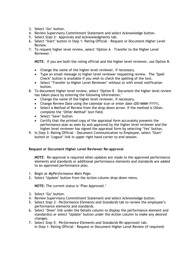- 3. Select 'Go' button.
- 4. Review Supervisory Commitment Statement and select Acknowledge button.
- 5. Select *Step 3:* Approvals and Acknowledgments tab.
- 6. Select 'Start' button in Step 1: Rating Official Request or Document Higher Level Review.
- 7. To request higher level review, select 'Option A Transfer to the Higher Level Reviewer.'

**NOTE**: If you are both the rating official and the higher level reviewer, use Option B.

- Change the name of the higher level reviewer, if necessary.
- Type an email message to higher level reviewer requesting review. The 'Spell Check' button is available if you wish to check the spelling of the text.
- Select 'Transfer to Higher Level Reviewer' without or with email notification button.
- 8. To document higher level review, select 'Option B Document the higher level review has taken place by entering the following information.'
	- Change the name of the higher level reviewer, if necessary.
	- Change Review Date using the calendar icon or enter date (DD-MMM-YYYY).
	- Select a Method of Review from the drop down arrow. If the method is Other, complete the 'Other Method' text field.
	- Select 'Save' button.
	- Certify that the printed copy of the appraisal form accurately presents the performance plan as seen by and approved by the higher level reviewer and the higher level reviewer has signed the appraisal form by selecting 'Yes' button.
- 9. In Step 3: Rating Official Document Communication to Employee, select 'Start' button or 'Logout' link in upper right hand corner to end session.

#### <span id="page-15-0"></span>**Request or Document Higher Level Reviewer Re-approval**

**NOTE**: Re-approval is required when updates are made to the approved performance elements and standards or additional performance elements and standards are added to an approved performance plan.

- 1. Begin at *MyPerformance Main Page*.
- 2. Select 'Update' button from the Action column drop-down menu.

**NOTE:** The current status is 'Plan Approved.'

- 3. Select 'Go' button.
- 4. Review Supervisory Commitment Statement and select Acknowledge button.
- 5. Select *Step 3: Performance Elements and Standards* tab to review the employee's performance elements and standards.
- 6. Select 'Show' link under the Details column to display the performance element and standard(s) or select 'Update' button under the Action column to make any desired changes.
- 7. Select *Step 5: Performance Elements and Standards Re-approvals*' tab. In Step 1: Rating Official - Request or Document Higher Level Review (if required)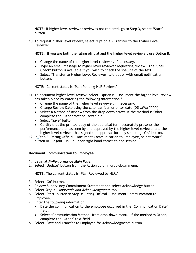**NOTE**: If higher level reviewer review is not required, go to Step 3, select 'Start' button.

10. To request higher level review, select 'Option A – Transfer to the Higher Level Reviewer.'

**NOTE**: If you are both the rating official and the higher level reviewer, use Option B.

- Change the name of the higher level reviewer, if necessary.
- Type an email message to higher level reviewer requesting review. The 'Spell Check' button is available if you wish to check the spelling of the text.
- Select 'Transfer to Higher Level Reviewer' without or with email notification button.

NOTE: Current status is 'Plan Pending HLR Review.'

- 11. To document higher level review, select 'Option B Document the higher level review has taken place by entering the following information.'
	- Change the name of the higher level reviewer, if necessary.
	- Change Review Date using the calendar icon or enter date (DD-MMM-YYYY).
	- Select a Method of Review from the drop down arrow. If the method is Other, complete the 'Other Method' text field.
	- Select 'Save' button.
	- Certify that the printed copy of the appraisal form accurately presents the performance plan as seen by and approved by the higher level reviewer and the higher level reviewer has signed the appraisal form by selecting 'Yes' button.
- 12. In Step 3: Rating Official Document Communication to Employee, select 'Start' button or 'Logout' link in upper right hand corner to end session.

#### <span id="page-16-0"></span>**Document Communication to Employee**

- 1. Begin at *MyPerformance Main Page*.
- 2. Select 'Update' button from the Action column drop-down menu.

**NOTE:** The current status is 'Plan Reviewed by HLR.'

- 3. Select 'Go' button.
- 4. Review Supervisory Commitment Statement and select Acknowledge button.
- 5. Select *Step 4: Approvals and Acknowledgments* tab.
- 6. Select 'Start' button in Step 3: Rating Official Document Communication to Employee.
- 7. Enter the following information:
	- Date the communication to the employee occurred in the 'Communication Date' field.
	- Select 'Communication Method' from drop-down menu. If the method is Other, complete the 'Other' text field.
- 8. Select 'Save and Transfer to Employee for Acknowledgment' button.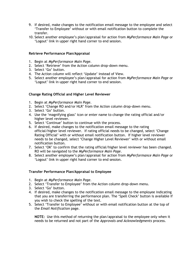- 9. If desired, make changes to the notification email message to the employee and select 'Transfer to Employee' without or with email notification button to complete the transfer.
- 10. Select another employee's plan/appraisal for action from *MyPerformance Main Page* or 'Logout' link in upper right hand corner to end session.

#### <span id="page-17-0"></span>**Retrieve Performance Plan/Appraisal**

- 1. Begin at *MyPerformance Main Page*.
- 2. Select 'Retrieve' from the Action column drop-down menu.
- 3. Select 'Go' button.
- 4. The Action column will reflect 'Update' instead of View.
- 5. Select another employee's plan/appraisal for action from *MyPerformance Main Page* or 'Logout' link in upper right hand corner to end session.

#### <span id="page-17-1"></span>**Change Rating Official and Higher Level Reviewer**

- 1. Begin at *MyPerformance Main Page*.
- 2. Select 'Change RO and/or HLR' from the Action column drop-down menu.
- 3. Select 'Go' button.
- 4. Use the 'magnifying glass' icon or enter name to change the rating official and/or higher level reviewer.
- 5. Select 'Continue' button to continue with the process.
- 6. If desired, make changes to the notification email message to the rating official/higher level reviewer. If rating official needs to be changed, select 'Change Rating Official' with or without email notification button. If higher level reviewer needs to be changed, select 'Change Higher Level Reviewer' with or without email notification button.
- 7. Select 'OK' to confirm that the rating official/higher level reviewer has been changed. RO will be navigated to the *MyPerformance Main Page*.
- 8. Select another employee's plan/appraisal for action from *MyPerformance Main Page* or 'Logout' link in upper right hand corner to end session.

#### <span id="page-17-2"></span>**Transfer Performance Plan/Appraisal to Employee**

- 1. Begin at *MyPerformance Main Page*.
- 2. Select 'Transfer to Employee' from the Action column drop-down menu.
- 3. Select 'Go' button.
- 4. If desired, make changes to the notification email message to the employee indicating that you are transferring the performance plan. The 'Spell Check' button is available if you wish to check the spelling of the text.
- 5. Select 'Transfer to Employee' without or with email notification button at the top of the *Email Notification* page.

**NOTE:** Use this method of returning the plan/appraisal to the employee only when it needs to be returned and not part of the *Approvals and Acknowledgments* process.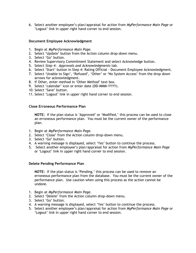6. Select another employee's plan/appraisal for action from *MyPerformance Main Page* or 'Logout' link in upper right hand corner to end session.

#### <span id="page-18-0"></span>**Document Employee Acknowledgment**

- 1. Begin at *MyPerformance Main Page*.
- 2. Select 'Update' button from the Action column drop-down menu.
- 3. Select 'Go' button.
- 4. Review Supervisory Commitment Statement and select Acknowledge button.
- 5. Select *Step 4: Approvals and Acknowledgments* tab.
- 6. Select 'Start' button in Step 4: Rating Official Document Employee Acknowledgment.
- 7. Select 'Unable to Sign', 'Refused', 'Other' or 'No System Access' from the drop down arrows for acknowledgment.
- 8. If Other, enter method in 'Other Method' text box.
- 9. Select 'calendar' icon or enter date (DD-MMM-YYYY).
- 10. Select 'Save' button.
- 11. Select 'Logout' link in upper right hand corner to end session.

#### <span id="page-18-1"></span>**Close Erroneous Performance Plan**

**NOTE:** If the plan status is 'Approved' or 'Modified,' this process can be used to close an erroneous performance plan. You must be the current owner of the performance plan.

- 1. Begin at *MyPerformance Main Page*.
- 2. Select 'Close' from the Action column drop-down menu.
- 3. Select 'Go' button.
- 4. A warning message is displayed, select 'Yes' button to continue the process.
- 5. Select another employee's plan/appraisal for action from *MyPerformance Main Page* or 'Logout' link in upper right hand corner to end session.

#### <span id="page-18-2"></span>**Delete Pending Performance Plan**

**NOTE:** If the plan status is 'Pending,' this process can be used to remove an erroneous performance plan from the database. You must be the current owner of the performance plan. Use caution when using this process as the action cannot be undone.

- 1. Begin at *MyPerformance Main Page*.
- 2. Select 'Delete' from the Action column drop-down menu.
- 3. Select 'Go' button.
- 4. A warning message is displayed, select 'Yes' button to continue the process.
- 5. Select another employee's plan/appraisal for action from *MyPerformance Main Page* or 'Logout' link in upper right hand corner to end session.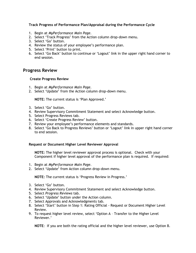#### <span id="page-19-0"></span>**Track Progress of Performance Plan/Appraisal during the Performance Cycle**

- 1. Begin at *MyPerformance Main Page*.
- 2. Select 'Track Progress' from the Action column drop-down menu.
- 3. Select 'Go' button.
- 4. Review the status of your employee's performance plan.
- 5. Select 'Print' button to print.
- 6. Select 'Go Back' button to continue or 'Logout' link in the upper right hand corner to end session.

#### <span id="page-19-1"></span>**Progress Review**

#### <span id="page-19-2"></span>**Create Progress Review**

- 1. Begin at *MyPerformance Main Page*.
- 2. Select 'Update' from the Action column drop-down menu.

**NOTE:** The current status is 'Plan Approved.'

- 3. Select 'Go' button.
- 4. Review Supervisory Commitment Statement and select Acknowledge button.
- 5. Select Progress Reviews tab.
- 6. Select 'Create Progress Review' button.
- 7. Review your employee's performance elements and standards.
- 8. Select 'Go Back to Progress Reviews' button or 'Logout' link in upper right hand corner to end session.

#### <span id="page-19-3"></span>**Request or Document Higher Level Reviewer Approval**

**NOTE:** The higher level reviewer approval process is optional. Check with your Component if higher level approval of the performance plan is required. If required:

- 1. Begin at *MyPerformance Main Page*.
- 2. Select 'Update' from Action column drop-down menu.

**NOTE:** The current status is 'Progress Review in Progress.'

- 3. Select 'Go' button.
- 4. Review Supervisory Commitment Statement and select Acknowledge button.
- 5. Select *Progress Reviews* tab.
- 6. Select 'Update' button under the Action column.
- 7. Select Approvals and Acknowledgments tab.
- 8. Select 'Start' button in Step 1: Rating Official Request or Document Higher Level Review.
- 9. To request higher level review, select 'Option A Transfer to the Higher Level Reviewer.'

**NOTE**: If you are both the rating official and the higher level reviewer, use Option B.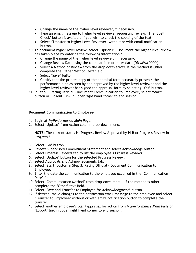- Change the name of the higher level reviewer, if necessary.
- Type an email message to higher level reviewer requesting review. The 'Spell Check' button is available if you wish to check the spelling of the text.
- Select 'Transfer to Higher Level Reviewer' without or with email notification button.

10. To document higher level review, select 'Option B – Document the higher level review has taken place by entering the following information.'

- Change the name of the higher level reviewer, if necessary.
- Change Review Date using the calendar icon or enter date (DD-MMM-YYYY).
- Select a Method of Review from the drop down arrow. If the method is Other, complete the 'Other Method' text field.
- Select 'Save' button.
- Certify that the printed copy of the appraisal form accurately presents the performance plan as seen by and approved by the higher level reviewer and the higher level reviewer has signed the appraisal form by selecting 'Yes' button.
- 11. In Step 3: Rating Official Document Communication to Employee, select 'Start' button or 'Logout' link in upper right hand corner to end session.

#### <span id="page-20-0"></span>**Document Communication to Employee**

- 1. Begin at *MyPerformance Main Page*.
- 2. Select 'Update' from Action column drop-down menu.

**NOTE:** The current status is 'Progress Review Approved by HLR or Progress Review in Progress.'

- 3. Select 'Go' button.
- 4. Review Supervisory Commitment Statement and select Acknowledge button.
- 5. Select Progress Reviews tab to list the employee's Progress Reviews.
- 6. Select 'Update' button for the selected Progress Review.
- 7. Select Approvals and Acknowledgments tab.
- 8. Select 'Start' button in Step 3: Rating Official Document Communication to Employee.
- 9. Enter the date the communication to the employee occurred in the 'Communication Date' field.
- 10. Select 'Communication Method' from drop-down menu. If the method is other, complete the 'Other' text field.
- 11. Select 'Save and Transfer to Employee for Acknowledgment' button.
- 12. If desired, make changes to the notification email message to the employee and select 'Transfer to Employee' without or with email notification button to complete the transfer.
- 13. Select another employee's plan/appraisal for action from *MyPerformance Main Page* or 'Logout' link in upper right hand corner to end session.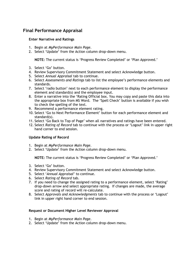## <span id="page-21-0"></span>**Final Performance Appraisal**

#### <span id="page-21-1"></span>**Enter Narrative and Ratings**

- 1. Begin at *MyPerformance Main Page*.
- 2. Select 'Update' from the Action column drop-down menu.

**NOTE:** The current status is 'Progress Review Completed' or 'Plan Approved.'

- 3. Select 'Go' button.
- 4. Review Supervisory Commitment Statement and select Acknowledge button.
- 5. Select *Annual Appraisal* tab to continue.
- 6. Select *Assessments and Ratings* tab to list the employee's performance elements and standards.
- 7. Select 'radio button' next to each performance element to display the performance element and standard(s) and the employee input.
- 8. Enter a narrative into the 'Rating Official box. You may copy and paste this data into the appropriate box from MS Word. The 'Spell Check' button is available if you wish to check the spelling of the text.
- 9. Recommend a performance element rating.
- 10. Select 'Go to Next Performance Element' button for each performance element and standard(s).
- 11. Select 'Go Back to Top of Page' when all narratives and ratings have been entered.
- 12. Select *Rating of Record* tab to continue with the process or 'Logout' link in upper right hand corner to end session.

#### <span id="page-21-2"></span>**Update Rating of Record**

- 1. Begin at *MyPerformance Main Page*.
- 2. Select 'Update' from the Action column drop-down menu.

**NOTE:** The current status is 'Progress Review Completed' or 'Plan Approved.'

- 3. Select 'Go' button.
- 4. Review Supervisory Commitment Statement and select Acknowledge button.
- 5. Select '*Annual Appraisal*' to continue.
- 6. Select *Rating of Record* tab.
- 7. If you need to change the assigned rating to a performance element, select 'Rating' drop-down arrow and select appropriate rating. If changes are made, the average score and rating of record will re-calculate.
- 8. Select *Approvals and Acknowledgments* tab to continue with the process or 'Logout' link in upper right hand corner to end session.

#### <span id="page-21-3"></span>**Request or Document Higher Level Reviewer Approval**

- 1. Begin at *MyPerformance Main Page*.
- 2. Select 'Update' from the Action column drop-down menu.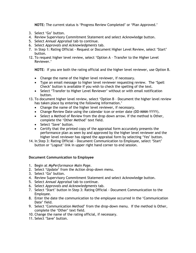**NOTE:** The current status is 'Progress Review Completed' or 'Plan Approved.'

- 3. Select 'Go' button.
- 4. Review Supervisory Commitment Statement and select Acknowledge button.
- 5. Select *Annual Appraisal* tab to continue.
- 6. Select *Approvals and Acknowledgments* tab.
- 7. In Step 1: Rating Official Request or Document Higher Level Review, select 'Start' button.
- 12. To request higher level review, select 'Option A Transfer to the Higher Level Reviewer.'

**NOTE**: If you are both the rating official and the higher level reviewer, use Option B.

- Change the name of the higher level reviewer, if necessary.
- Type an email message to higher level reviewer requesting review. The 'Spell Check' button is available if you wish to check the spelling of the text.
- Select 'Transfer to Higher Level Reviewer' without or with email notification button.
- 13. To document higher level review, select 'Option B Document the higher level review has taken place by entering the following information.'
	- Change the name of the higher level reviewer, if necessary.
	- Change Review Date using the calendar icon or enter date (DD-MMM-YYYY).
	- Select a Method of Review from the drop down arrow. If the method is Other, complete the 'Other Method' text field.
	- Select 'Save' button.
	- Certify that the printed copy of the appraisal form accurately presents the performance plan as seen by and approved by the higher level reviewer and the higher level reviewer has signed the appraisal form by selecting 'Yes' button.
- 14. In Step 3: Rating Official Document Communication to Employee, select 'Start' button or 'Logout' link in upper right hand corner to end session.

#### <span id="page-22-0"></span>**Document Communication to Employee**

- 1. Begin at *MyPerformance Main Page*.
- 2. Select 'Update' from the Action drop-down menu.
- 3. Select 'Go' button.
- 4. Review Supervisory Commitment Statement and select Acknowledge button.
- 5. Select *Annual Appraisal* tab to continue.
- 6. Select *Approvals and Acknowledgments* tab.
- 7. Select 'Start' button in Step 3: Rating Official Document Communication to the Employee.
- 8. Enter the date the communication to the employee occurred in the 'Communication Date' field.
- 9. Select 'Communication Method' from the drop-down menu. If the method is Other, complete the 'Other' text field.
- 10. Change the name of the rating official, if necessary.
- 11. Select 'Save' button.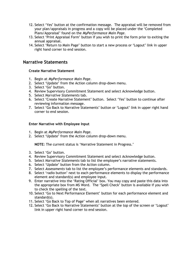- 12. Select 'Yes' button at the confirmation message. The appraisal will be removed from your plan/appraisals in progress and a copy will be placed under the 'Completed Plans/Appraisal' found on the *MyPerformance Main Page*.
- 13. Select 'Print Appraisal Form' button if you wish to print the form prior to exiting the annual appraisal.
- 14. Select 'Return to Main Page' button to start a new process or 'Logout' link in upper right hand corner to end session.

## <span id="page-23-0"></span>**Narrative Statements**

#### <span id="page-23-1"></span>**Create Narrative Statement**

- 1. Begin at *MyPerformance Main Page*.
- 2. Select 'Update' from the Action column drop-down menu.
- 3. Select 'Go' button.
- 4. Review Supervisory Commitment Statement and select Acknowledge button.
- 5. Select *Narrative Statements* tab.
- 6. Select 'Create Narrative Statement' button. Select 'Yes' button to continue after reviewing information message.
- 7. Select 'Go Back to Narrative Statements' button or 'Logout' link in upper right hand corner to end session.

#### <span id="page-23-2"></span>**Enter Narrative with Employee Input**

- 1. Begin at *MyPerformance Main Page*.
- 2. Select 'Update' from the Action column drop-down menu.

**NOTE:** The current status is 'Narrative Statement in Progress.'

- 3. Select 'Go' button.
- 4. Review Supervisory Commitment Statement and select Acknowledge button.
- 5. Select *Narrative Statements* tab to list the employee's narrative statements.
- 6. Select 'Update' button from the Action column.
- 7. Select *Assessments* tab to list the employee's performance elements and standards.
- 8. Select 'radio button' next to each performance elements to display the performance element and standard(s) and employee input.
- 9. Enter narrative into the 'Rating Official' box. You may copy and paste this data into the appropriate box from MS Word. The 'Spell Check' button is available if you wish to check the spelling of the text.
- 10. Select 'Go to Next Performance Element' button for each performance element and standard(s).
- 11. Select 'Go Back to Top of Page' when all narratives been entered.
- 12. Select 'Go Back to Narrative Statements' button at the top of the screen or 'Logout' link in upper right hand corner to end session.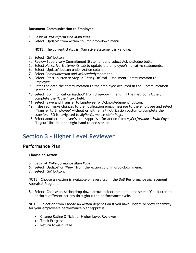#### <span id="page-24-0"></span>**Document Communication to Employee**

- 1. Begin at *MyPerformance Main Page*.
- 2. Select 'Update' from Action column drop-down menu.

**NOTE:** The current status is 'Narrative Statement is Pending.'

- 3. Select 'Go' button
- 4. Review Supervisory Commitment Statement and select Acknowledge button.
- 5. Select *Narrative Statements* tab to update the employee's narrative statements.
- 6. Select 'Update' button under Action column.
- 7. Select *Communication and Acknowledgments* tab.
- 8. Select 'Start' button in Step 1: Rating Official Document Communication to Employee.
- 9. Enter the date the communication to the employee occurred in the 'Communication Date' field.
- 10. Select 'Communication Method' from drop-down menu. If the method is Other, complete the 'Other' text field.
- 11. Select 'Save and Transfer to Employee for Acknowledgment' button.
- 12. If desired, make changes to the notification email message to the employee and select 'Transfer to Employee' without or with email notification button to complete the transfer. RO is navigated to *MyPerformance Main Page*.
- 13. Select another employee's plan/appraisal for action from *MyPerformance Main Page* or 'Logout' link in upper right hand to end session.

## <span id="page-24-1"></span>**Section 3 - Higher Level Reviewer**

## <span id="page-24-2"></span>**Performance Plan**

#### <span id="page-24-3"></span>**Choose an Action**

- 5. Begin at *MyPerformance Main Page*.
- 6. Select 'Update' or 'View' from the Action column drop-down menu.
- 7. Select 'Go' button.

NOTE: Choose an Action is available on every tab in the DoD Performance Management Appraisal Program.

8. Select 'Choose an Action drop down arrow, select the action and select 'Go' button to perform different actions throughout the performance cycle.

NOTE: Selection from Choose an Action depends on if you have Update or View capability for your employee's performance plan/appraisal.

- Change Rating Official or Higher Level Reviewer
- Track Progress
- Return to Main Page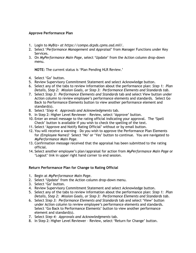#### <span id="page-25-0"></span>**Approve Performance Plan**

- 1. Login to MyBiz+ *at https://compo.dcpds.cpms.osd.mil/*.
- 2. Select '*Performance Management and Appraisal'* from Manager Functions under Key Services.
- 3. On *MyPerformance Main Page*, select 'Update' from the Action column drop-down menu.

**NOTE:** The current status is 'Plan Pending HLR Review.'

- 4. Select 'Go' button.
- 5. Review Supervisory Commitment Statement and select Acknowledge button.
- 6. Select any of the tabs to review information about the performance plan: *Step 1: Plan Details, Step 2: Mission Goals, or Step 3: Performance Elements and Standards tab*.
- 7. Select *Step 3: Performance Elements and Standards* tab and select View button under Action column to review employee's performance elements and standards. Select Go Back to Performance Elements button to view another performance element and standard(s).
- 8. Select '*Step 4: Approvals and Acknowledgments* tab.
- 9. In Step 2: Higher Level Reviewer Review, select 'Approve' button.
- 10. Enter an email message to the rating official indicating your approval. The 'Spell Check' button is available if you wish to check the spelling of the text.
- 11. Select 'Approve and Notify Rating Official' without or by email button.
- 12. You will receive a warning Do you wish to approve the Performance Plan Elements for (Employee Name)? Select 'No' or 'Yes' button to continue. You are navigated to *MyPerformance Main Page.*
- 13. Confirmation message received that the appraisal has been submitted to the rating official.
- 14. Select another employee's plan/appraisal for action from *MyPerformance Main Page* or 'Logout' link in upper right hand corner to end session.

#### <span id="page-25-1"></span>**Return Performance Plan for Change to Rating Official**

- 1. Begin at *MyPerformance Main Page*.
- 2. Select 'Update' from the Action column drop-down menu.
- 3. Select 'Go' button.
- 4. Review Supervisory Commitment Statement and select Acknowledge button.
- 5. Select any of the tabs to review information about the performance plan: *Step 1: Plan Details, Step 2: Mission Goals, or Step 3: Performance Elements and Standards tab*.
- 6. Select *Step 3: Performance Elements and Standards* tab and select 'View' button under Action column to review employee's performance elements and standards. Select 'Go Back to Performance Elements' button to view another performance element and standard(s).
- 7. Select *Step 4: Approvals and Acknowledgments* tab.
- 8. In Step 2: Higher Level Reviewer Review, select 'Return for Change' button.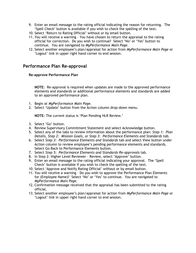- 9. Enter an email message to the rating official indicating the reason for returning. The 'Spell Check' button is available if you wish to check the spelling of the text.
- 10. Select 'Return to Rating Official' without or by email button.
- 11. You will receive a warning You have chosen to return the appraisal to the rating official for correction. Do you wish to continue? Select 'No' or 'Yes' button to continue. You are navigated to *MyPerformance Main Page.*
- 12. Select another employee's plan/appraisal for action from *MyPerformance Main Page* or 'Logout' link in upper right hand corner to end session.

## <span id="page-26-0"></span>**Performance Plan Re-approval**

#### <span id="page-26-1"></span>**Re-approve Performance Plan**

**NOTE**: Re-approval is required when updates are made to the approved performance elements and standards or additional performance elements and standards are added to an approved performance plan.

- 1. Begin at *MyPerformance Main Page*.
- 2. Select 'Update' button from the Action column drop-down menu.

**NOTE:** The current status is 'Plan Pending HLR Review.'

- 3. Select 'Go' button.
- 4. Review Supervisory Commitment Statement and select Acknowledge button.
- 5. Select any of the tabs to review information about the performance plan: *Step 1: Plan Details, Step 2: Mission Goals, or Step 3: Performance Elements and Standards tab*.
- 6. Select *Step 3: Performance Elements and Standards* tab and select View button under Action column to review employee's pending performance elements and standards. Select Go Back to Performance Elements button.
- 7. Select *Step 5: Performance Elements and Standards Re-approvals* tab.
- 8. In Step 2: Higher Level Reviewer Review, select 'Approve' button.
- 9. Enter an email message to the rating official indicating your approval. The 'Spell Check' button is available if you wish to check the spelling of the text.
- 10. Select 'Approve and Notify Rating Official' without or by email button.
- 11. You will receive a warning Do you wish to approve the Performance Plan Elements for (Employee Name)? Select 'No' or 'Yes' to continue. You are navigated to *MyPerformance Main Page.*
- 12. Confirmation message received that the appraisal has been submitted to the rating official.
- 13. Select another employee's plan/appraisal for action from *MyPerformance Main Page* or 'Logout' link in upper right hand corner to end session.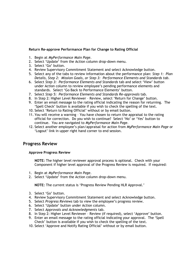#### <span id="page-27-0"></span>**Return Re-approve Performance Plan for Change to Rating Official**

- 1. Begin at *MyPerformance Main Page*.
- 2. Select 'Update' from the Action column drop-down menu.
- 3. Select 'Go' button.
- 4. Review Supervisory Commitment Statement and select Acknowledge button.
- 5. Select any of the tabs to review information about the performance plan: *Step 1: Plan Details, Step 2: Mission Goals, or Step 3: Performance Elements and Standards tab*.
- 6. Select *Step 3: Performance Elements and Standards* tab and select 'View' button under Action column to review employee's pending performance elements and standards. Select 'Go Back to Performance Elements' button.
- 7. Select *Step 5: Performance Elements and Standards Re-approvals* tab.
- 8. In Step 2: Higher Level Reviewer Review, select 'Return for Change' button.
- 9. Enter an email message to the rating official indicating the reason for returning. The 'Spell Check' button is available if you wish to check the spelling of the text.
- 10. Select 'Return to Rating Official' without or by email button.
- 11. You will receive a warning You have chosen to return the appraisal to the rating official for correction. Do you wish to continue? Select 'No' or 'Yes' button to continue. You are navigated to *MyPerformance Main Page.*
- 12. Select another employee's plan/appraisal for action from *MyPerformance Main Page* or 'Logout' link in upper right hand corner to end session.

## <span id="page-27-1"></span>**Progress Review**

#### <span id="page-27-2"></span>**Approve Progress Review**

**NOTE:** The higher level reviewer approval process is optional. Check with your Component if higher level approval of the Progress Review is required. If required:

- 1. Begin at *MyPerformance Main Page*.
- 2. Select 'Update' from the Action column drop-down menu.

**NOTE:** The current status is 'Progress Review Pending HLR Approval.'

- 3. Select 'Go' button.
- 4. Review Supervisory Commitment Statement and select Acknowledge button.
- 5. Select *Progress Reviews* tab to view the employee's progress review.
- 6. Select 'Update' button under Action column.
- 7. Select *Approvals and Acknowledgments* tab.
- 8. In Step 2: Higher Level Reviewer Review (if required), select 'Approve' button.
- 9. Enter an email message to the rating official indicating your approval. The 'Spell Check' button is available if you wish to check the spelling of the text.
- 10. Select 'Approve and Notify Rating Official' without or by email button.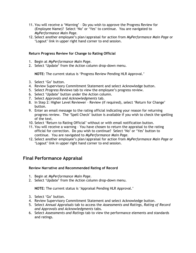- 11. You will receive a 'Warning' Do you wish to approve the Progress Review for (Employee Name)? Select 'No' or 'Yes' to continue. You are navigated to *MyPerformance Main Page.*
- 12. Select another employee's plan/appraisal for action from *MyPerformance Main Page* or 'Logout' link in upper right hand corner to end session.

#### <span id="page-28-0"></span>**Return Progress Review for Change to Rating Official**

- 1. Begin at *MyPerformance Main Page*.
- 2. Select 'Update' from the Action column drop-down menu.

**NOTE:** The current status is 'Progress Review Pending HLR Approval.'

- 3. Select 'Go' button.
- 4. Review Supervisory Commitment Statement and select Acknowledge button.
- 5. Select *Progress Reviews* tab to view the employee's progress review.
- 6. Select 'Update' button under the Action column.
- 7. Select *Approvals and Acknowledgments* tab.
- 8. In Step 2: Higher Level Reviewer Review (if required), select 'Return for Change' button.
- 9. Enter an email message to the rating official indicating your reason for returning progress review. The 'Spell Check' button is available if you wish to check the spelling of the text.
- 10. Select 'Return to Rating Official' without or with email notification button.
- 11. You will receive a warning You have chosen to return the appraisal to the rating official for correction. Do you wish to continue? Select 'No' or 'Yes' button to continue. You are navigated to *MyPerformance Main Page.*
- 12. Select another employee's plan/appraisal for action from *MyPerformance Main Page* or 'Logout' link in upper right hand corner to end session.

## <span id="page-28-1"></span>**Final Performance Appraisal**

#### <span id="page-28-2"></span>**Review Narrative and Recommended Rating of Record**

- 1. Begin at *MyPerformance Main Page*.
- 2. Select 'Update' from the Action column drop-down menu.

**NOTE:** The current status is 'Appraisal Pending HLR Approval.'

- 3. Select 'Go' button.
- 4. Review Supervisory Commitment Statement and select Acknowledge button.
- 5. Select *Annual Appraisals* tab to access the *Assessments and Ratings, Rating of Record and Approvals and Acknowledgments* tabs.
- 6. Select *Assessments and Ratings* tab to view the performance elements and standards and ratings.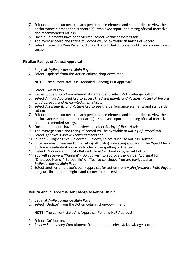- 7. Select radio button next to each performance element and standard(s) to view the performance element and standard(s), employee input, and rating official narrative and recommended ratings.
- 8. Once all elements have been viewed, select *Rating of Record* tab.
- 9. The average score and rating of record will be available in Rating of Record.
- 10. Select 'Return to Main Page' button or 'Logout' link in upper right hand corner to end session.

#### <span id="page-29-0"></span>**Finalize Ratings of Annual Appraisal**

- 1. Begin at *MyPerformance Main Page*.
- 2. Select 'Update' from the Action column drop-down menu.

**NOTE:** The current status is 'Appraisal Pending HLR Approval'

- 3. Select 'Go' button.
- 4. Review Supervisory Commitment Statement and select Acknowledge button.
- 5. Select *Annual Appraisal* tab to access the *Assessments and Ratings, Rating of Record and Approvals and Acknowledgments* tabs.
- 6. Select *Assessments and Ratings* tab to see the performance elements and standards ratings.
- 7. Select radio button next to each performance element and standard(s) to view the performance element and standard(s), employee input, and rating official narrative and recommended ratings.
- 8. Once all elements have been viewed, select *Rating of Record* tab.
- 9. The average score and rating of record will be available in *Rating of Record* tab.
- 10. Select *Approvals and Acknowledgments* tab.
- 11. In Step 2: Higher Level Reviewer Review, select 'Finalize Ratings' button.
- 12. Enter an email message to the rating official(s) indicating approval. The 'Spell Check' button is available if you wish to check the spelling of the text.
- 13. Select 'Approve and Notify Rating Official' without or by email button.
- 14. You will receive a 'Warning' Do you wish to approve the Annual Appraisal for (Employee Name)? Select 'No' or 'Yes' to continue. You are navigated to *MyPerformance Main Page.*
- 15. Select another employee's plan/appraisal for action from *MyPerformance Main Page* or 'Logout' link in upper right hand corner to end session.

#### <span id="page-29-1"></span>**Return Annual Appraisal for Change to Rating Official**

- 1. Begin at *MyPerformance Main Page*.
- 2. Select 'Update' from the Action column drop-down menu.

**NOTE:** The current status' is 'Appraisal Pending HLR Approval.'

- 3. Select 'Go' button.
- 4. Review Supervisory Commitment Statement and select Acknowledge button.